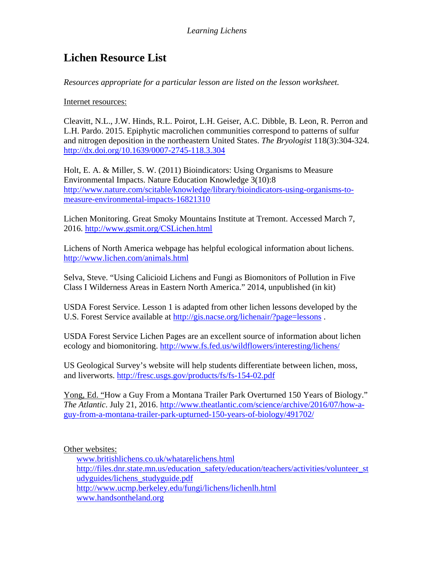## **Lichen Resource List**

*Resources appropriate for a particular lesson are listed on the lesson worksheet.*

Internet resources:

Cleavitt, N.L., J.W. Hinds, R.L. Poirot, L.H. Geiser, A.C. Dibble, B. Leon, R. Perron and L.H. Pardo. 2015. Epiphytic macrolichen communities correspond to patterns of sulfur and nitrogen deposition in the northeastern United States. *The Bryologist* 118(3):304-324. <http://dx.doi.org/10.1639/0007-2745-118.3.304>

Holt, E. A. & Miller, S. W. (2011) Bioindicators: Using Organisms to Measure Environmental Impacts. Nature Education Knowledge 3(10):8 [http://www.nature.com/scitable/knowledge/library/bioindicators-using-organisms-to](http://www.nature.com/scitable/knowledge/library/bioindicators-using-organisms-to-measure-environmental-impacts-16821310)[measure-environmental-impacts-16821310](http://www.nature.com/scitable/knowledge/library/bioindicators-using-organisms-to-measure-environmental-impacts-16821310)

Lichen Monitoring. Great Smoky Mountains Institute at Tremont. Accessed March 7, 2016.<http://www.gsmit.org/CSLichen.html>

Lichens of North America webpage has helpful ecological information about lichens. <http://www.lichen.com/animals.html>

Selva, Steve. "Using Calicioid Lichens and Fungi as Biomonitors of Pollution in Five Class I Wilderness Areas in Eastern North America." 2014, unpublished (in kit)

USDA Forest Service. Lesson 1 is adapted from other lichen lessons developed by the U.S. Forest Service available at<http://gis.nacse.org/lichenair/?page=lessons>.

USDA Forest Service Lichen Pages are an excellent source of information about lichen ecology and biomonitoring.<http://www.fs.fed.us/wildflowers/interesting/lichens/>

US Geological Survey's website will help students differentiate between lichen, moss, and liverworts.<http://fresc.usgs.gov/products/fs/fs-154-02.pdf>

Yong, Ed. "How a Guy From a Montana Trailer Park Overturned 150 Years of Biology." *The Atlantic*. July 21, 2016. [http://www.theatlantic.com/science/archive/2016/07/how-a](http://www.theatlantic.com/science/archive/2016/07/how-a-guy-from-a-montana-trailer-park-upturned-150-years-of-biology/491702/)[guy-from-a-montana-trailer-park-upturned-150-years-of-biology/491702/](http://www.theatlantic.com/science/archive/2016/07/how-a-guy-from-a-montana-trailer-park-upturned-150-years-of-biology/491702/)

## Other websites:

[www.britishlichens.co.uk/whatarelichens.html](http://www.britishlichens.co.uk/whatarelichens.html) [http://files.dnr.state.mn.us/education\\_safety/education/teachers/activities/volunteer\\_st](http://files.dnr.state.mn.us/education_safety/education/teachers/activities/volunteer_studyguides/lichens_studyguide.pdf) [udyguides/lichens\\_studyguide.pdf](http://files.dnr.state.mn.us/education_safety/education/teachers/activities/volunteer_studyguides/lichens_studyguide.pdf) <http://www.ucmp.berkeley.edu/fungi/lichens/lichenlh.html> [www.handsontheland.org](http://www.handsontheland.org/)